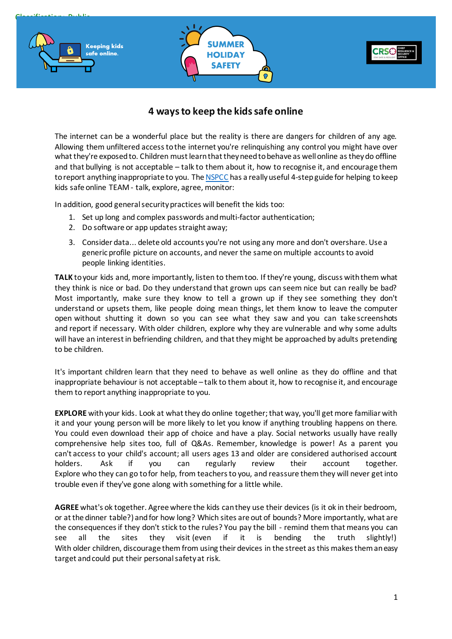

# **4 ways to keep the kids safe online**

The internet can be a wonderful place but the reality is there are dangers for children of any age. Allowing them unfiltered access to the internet you're relinquishing any control you might have over what they're exposed to. Children must learn that they need to behave as well online as they do offline and that bullying is not acceptable – talk to them about it, how to recognise it, and encourage them to report anything inappropriate to you. Th[e NSPCC](https://www.nspcc.org.uk/keeping-children-safe/online-safety/) has a really useful 4-step guide for helping to keep kids safe online TEAM - talk, explore, agree, monitor:

In addition, good general security practices will benefit the kids too:

- 1. Set up long and complex passwords and multi-factor authentication;
- 2. Do software or app updates straight away;
- 3. Consider data... delete old accounts you're not using any more and don't overshare. Use a generic profile picture on accounts, and never the same on multiple accounts to avoid people linking identities.

**TALK** to your kids and, more importantly, listen to them too. If they're young, discuss with them what they think is nice or bad. Do they understand that grown ups can seem nice but can really be bad? Most importantly, make sure they know to tell a grown up if they see something they don't understand or upsets them, like people doing mean things, let them know to leave the computer open without shutting it down so you can see what they saw and you can take screenshots and report if necessary. With older children, explore why they are vulnerable and why some adults will have an interest in befriending children, and that they might be approached by adults pretending to be children.

It's important children learn that they need to behave as well online as they do offline and that inappropriate behaviour is not acceptable – talk to them about it, how to recognise it, and encourage them to report anything inappropriate to you.

**EXPLORE** with your kids. Look at what they do online together; that way, you'll get more familiar with it and your young person will be more likely to let you know if anything troubling happens on there. You could even download their app of choice and have a play. Social networks usually have really comprehensive help sites too, full of Q&As. Remember, knowledge is power! As a parent you can't access to your child's account; all users ages 13 and older are considered authorised account holders. Ask if you can regularly review their account together. Explore who they can go to for help, from teachers to you, and reassure themthey will never get into trouble even if they've gone along with something for a little while.

**AGREE** what's ok together. Agree where the kids can they use their devices (is it ok in their bedroom, or at the dinner table?) and for how long? Which sites are out of bounds? More importantly, what are the consequences if they don't stick to the rules? You pay the bill - remind them that means you can see all the sites they visit (even if it is bending the truth slightly!) With older children, discourage them from using their devices in the street as this makes them an easy target and could put their personal safety at risk.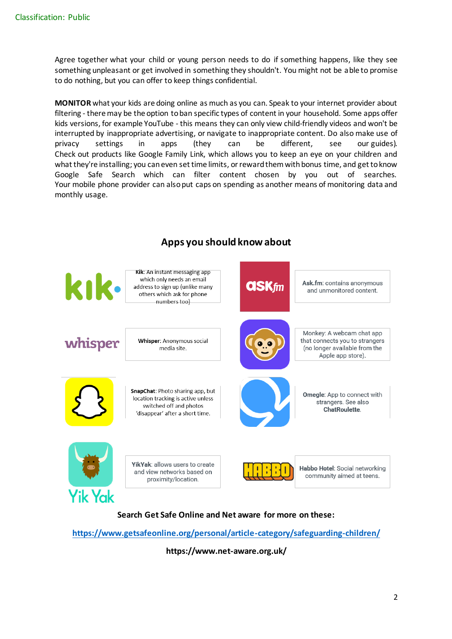Agree together what your child or young person needs to do if something happens, like they see something unpleasant or get involved in something they shouldn't. You might not be able to promise to do nothing, but you can offer to keep things confidential.

**MONITOR** what your kids are doing online as much as you can. Speak to your internet provider about filtering - there may be the option to ban specific types of content in your household. Some apps offer kids versions, for example YouTube - this means they can only view child-friendly videos and won't be interrupted by inappropriate advertising, or navigate to inappropriate content. Do also make use of privacy settings in apps (they can be different, see our guides). Check out products like Google Family Link, which allows you to keep an eye on your children and what they're installing; you can even set time limits, or reward them with bonus time, and get to know Google Safe Search which can filter content chosen by you out of searches. Your mobile phone provider can also put caps on spending as another means of monitoring data and monthly usage.



**https://www.net-aware.org.uk/**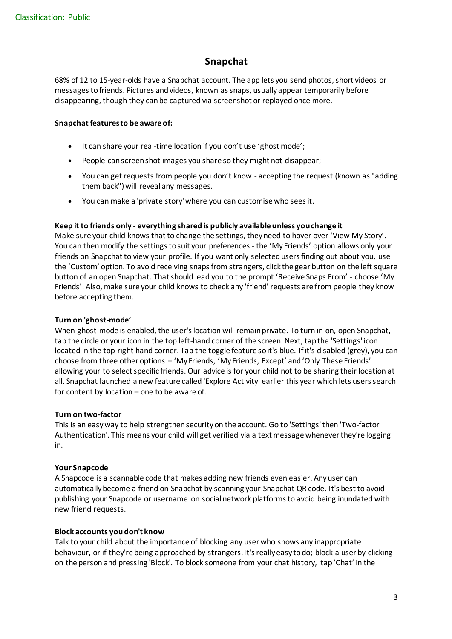# **Snapchat**

68% of 12 to 15-year-olds have a Snapchat account. The app lets you send photos, short videos or messages to friends. Pictures and videos, known as snaps, usually appear temporarily before disappearing, though they can be captured via screenshot or replayed once more.

# **Snapchat features to be aware of:**

- It can share your real-time location if you don't use 'ghost mode';
- People can screen shot images you share so they might not disappear;
- You can get requests from people you don't know accepting the request (known as "adding" them back") will reveal any messages.
- You can make a 'private story' where you can customise who sees it.

# **Keep it to friends only - everything shared is publicly available unless you change it**

Make sure your child knows that to change the settings, they need to hover over 'View My Story'. You can then modify the settings to suit your preferences - the 'My Friends' option allows only your friends on Snapchat to view your profile. If you want only selected users finding out about you, use the 'Custom' option. To avoid receiving snaps from strangers, click the gear button on the left square button of an open Snapchat. That should lead you to the prompt 'Receive Snaps From' - choose 'My Friends'. Also, make sure your child knows to check any 'friend' requests are from people they know before accepting them.

# **Turn on 'ghost-mode'**

When ghost-mode is enabled, the user's location will remain private. To turn in on, open Snapchat, tap the circle or your icon in the top left-hand corner of the screen. Next, tap the 'Settings' icon located in the top-right hand corner. Tap the toggle feature so it's blue. If it's disabled (grey), you can choose from three other options – 'My Friends, 'My Friends, Except' and 'Only These Friends' allowing your to select specific friends. Our advice is for your child not to be sharing their location at all. Snapchat launched a new feature called 'Explore Activity' earlier this year which lets users search for content by location – one to be aware of.

# **Turn on two-factor**

This is an easy way to help strengthen security on the account. Go to 'Settings' then 'Two-factor Authentication'. This means your child will get verified via a text message whenever they're logging in.

# **Your Snapcode**

A Snapcode is a scannable code that makes adding new friends even easier. Any user can automatically become a friend on Snapchat by scanning your Snapchat QR code. It's best to avoid publishing your Snapcode or username on social network platforms to avoid being inundated with new friend requests.

# **Block accounts you don't know**

Talk to your child about the importance of blocking any user who shows any inappropriate behaviour, or if they're being approached by strangers. It's really easy to do; block a user by clicking on the person and pressing 'Block'. To block someone from your chat history, tap 'Chat' in the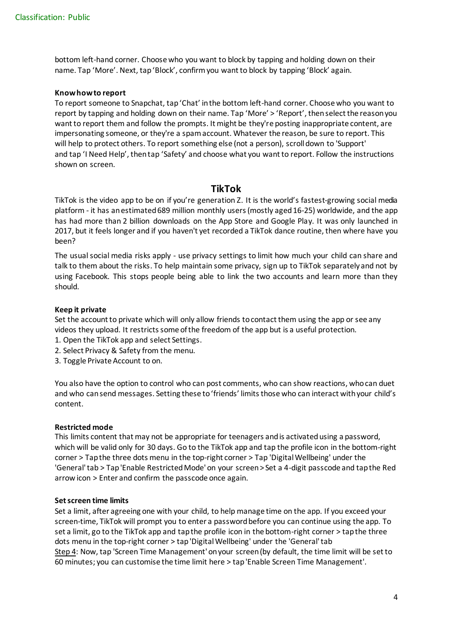bottom left-hand corner. Choose who you want to block by tapping and holding down on their name. Tap 'More'. Next, tap 'Block', confirm you want to block by tapping 'Block' again.

### **Know how to report**

To report someone to Snapchat, tap 'Chat' in the bottom left-hand corner. Choose who you want to report by tapping and holding down on their name. Tap 'More' > 'Report', then select the reason you want to report them and follow the prompts. It might be they're posting inappropriate content, are impersonating someone, or they're a spam account. Whatever the reason, be sure to report. This will help to protect others. To report something else (not a person), scroll down to 'Support' and tap 'I Need Help', then tap 'Safety' and choose what you want to report. Follow the instructions shown on screen.

# **TikTok**

TikTok is the video app to be on if you're generation Z. It is the world's fastest-growing social media platform - it has an estimated 689 million monthly users (mostly aged 16-25) worldwide, and the app has had more than 2 billion downloads on the App Store and Google Play. It was only launched in 2017, but it feels longer and if you haven't yet recorded a TikTok dance routine, then where have you been?

The usual social media risks apply - use privacy settings to limit how much your child can share and talk to them about the risks. To help maintain some privacy, sign up to TikTok separately and not by using Facebook. This stops people being able to link the two accounts and learn more than they should.

#### **Keep it private**

Set the account to private which will only allow friends to contact them using the app or see any videos they upload. It restricts some of the freedom of the app but is a useful protection.

- 1. Open the TikTok app and select Settings.
- 2. Select Privacy & Safety from the menu.
- 3. Toggle Private Account to on.

You also have the option to control who can post comments, who can show reactions, who can duet and who can send messages. Setting these to 'friends' limits those who can interact with your child's content.

# **Restricted mode**

This limits content that may not be appropriate for teenagers and is activated using a password, which will be valid only for 30 days. Go to the TikTok app and tap the profile icon in the bottom-right corner > Tap the three dots menu in the top-right corner > Tap 'Digital Wellbeing' under the 'General' tab > Tap 'Enable Restricted Mode' on your screen > Set a 4-digit passcode and tap the Red arrow icon > Enter and confirm the passcode once again.

#### **Set screen time limits**

Set a limit, after agreeing one with your child, to help manage time on the app. If you exceed your screen-time, TikTok will prompt you to enter a password before you can continue using the app. To set a limit, go to the TikTok app and tap the profile icon in the bottom-right corner > tap the three dots menu in the top-right corner > tap 'Digital Wellbeing' under the 'General' tab Step 4: Now, tap 'Screen Time Management' on your screen (by default, the time limit will be set to 60 minutes; you can customise the time limit here > tap 'Enable Screen Time Management'.